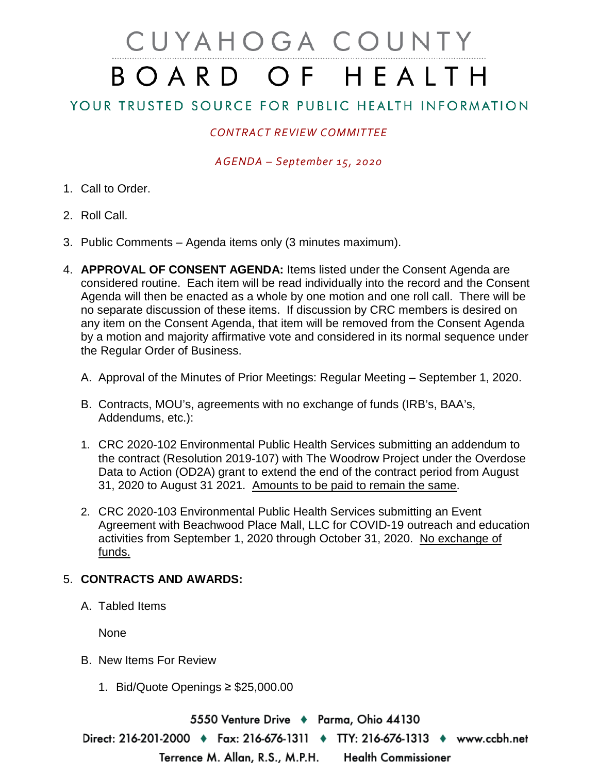# CUYAHOGA COUNTY BOARD OF HEALTH

# YOUR TRUSTED SOURCE FOR PUBLIC HEALTH INFORMATION

## *CONTRACT REVIEW COMMITTEE*

#### *AGENDA – September 15, 2020*

- 1. Call to Order.
- 2. Roll Call.
- 3. Public Comments Agenda items only (3 minutes maximum).
- 4. **APPROVAL OF CONSENT AGENDA:** Items listed under the Consent Agenda are considered routine. Each item will be read individually into the record and the Consent Agenda will then be enacted as a whole by one motion and one roll call. There will be no separate discussion of these items. If discussion by CRC members is desired on any item on the Consent Agenda, that item will be removed from the Consent Agenda by a motion and majority affirmative vote and considered in its normal sequence under the Regular Order of Business.
	- A. Approval of the Minutes of Prior Meetings: Regular Meeting September 1, 2020.
	- B. Contracts, MOU's, agreements with no exchange of funds (IRB's, BAA's, Addendums, etc.):
	- 1. CRC 2020-102 Environmental Public Health Services submitting an addendum to the contract (Resolution 2019-107) with The Woodrow Project under the Overdose Data to Action (OD2A) grant to extend the end of the contract period from August 31, 2020 to August 31 2021. Amounts to be paid to remain the same.
	- 2. CRC 2020-103 Environmental Public Health Services submitting an Event Agreement with Beachwood Place Mall, LLC for COVID-19 outreach and education activities from September 1, 2020 through October 31, 2020. No exchange of funds.

### 5. **CONTRACTS AND AWARDS:**

A. Tabled Items

None

- B. New Items For Review
	- 1. Bid/Quote Openings ≥ \$25,000.00

5550 Venture Drive ♦ Parma, Ohio 44130 Direct: 216-201-2000 ♦ Fax: 216-676-1311 ♦ TTY: 216-676-1313 ♦ www.ccbh.net Terrence M. Allan, R.S., M.P.H. **Health Commissioner**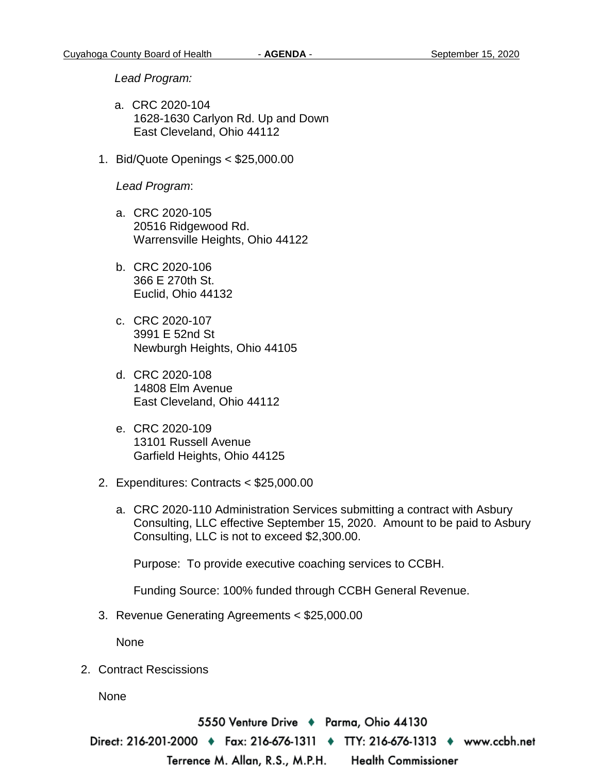*Lead Program:*

- a. CRC 2020-104 1628-1630 Carlyon Rd. Up and Down East Cleveland, Ohio 44112
- 1. Bid/Quote Openings < \$25,000.00

*Lead Program*:

- a. CRC 2020-105 20516 Ridgewood Rd. Warrensville Heights, Ohio 44122
- b. CRC 2020-106 366 E 270th St. Euclid, Ohio 44132
- c. CRC 2020-107 3991 E 52nd St Newburgh Heights, Ohio 44105
- d. CRC 2020-108 14808 Elm Avenue East Cleveland, Ohio 44112
- e. CRC 2020-109 13101 Russell Avenue Garfield Heights, Ohio 44125
- 2. Expenditures: Contracts < \$25,000.00
	- a. CRC 2020-110 Administration Services submitting a contract with Asbury Consulting, LLC effective September 15, 2020. Amount to be paid to Asbury Consulting, LLC is not to exceed \$2,300.00.

Purpose: To provide executive coaching services to CCBH.

Funding Source: 100% funded through CCBH General Revenue.

3. Revenue Generating Agreements < \$25,000.00

None

2. Contract Rescissions

None

5550 Venture Drive + Parma, Ohio 44130 Direct: 216-201-2000 ♦ Fax: 216-676-1311 ♦ TTY: 216-676-1313 ♦ www.ccbh.net Terrence M. Allan, R.S., M.P.H. **Health Commissioner**